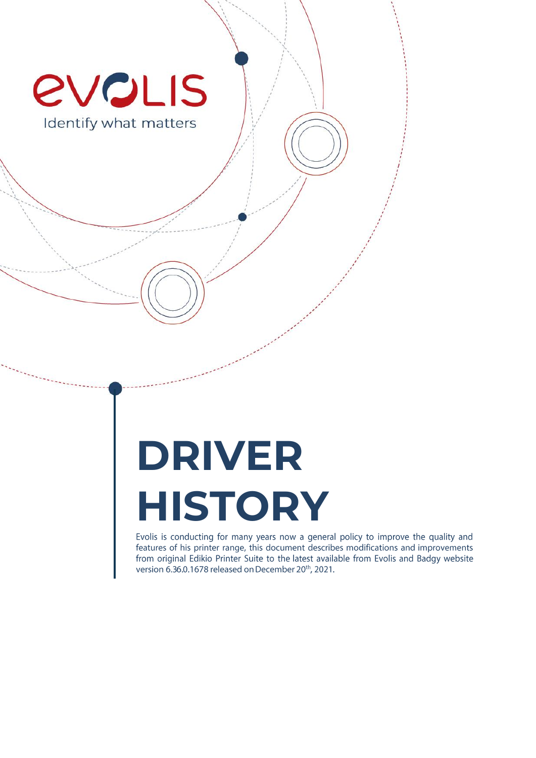

# **DRIVER HISTORY**

Evolis is conducting for many years now a general policy to improve the quality and features of his printer range, this document describes modifications and improvements from original Edikio Printer Suite to the latest available from Evolis and Badgy website version 6.36.0.1678 released on December 20th, 2021.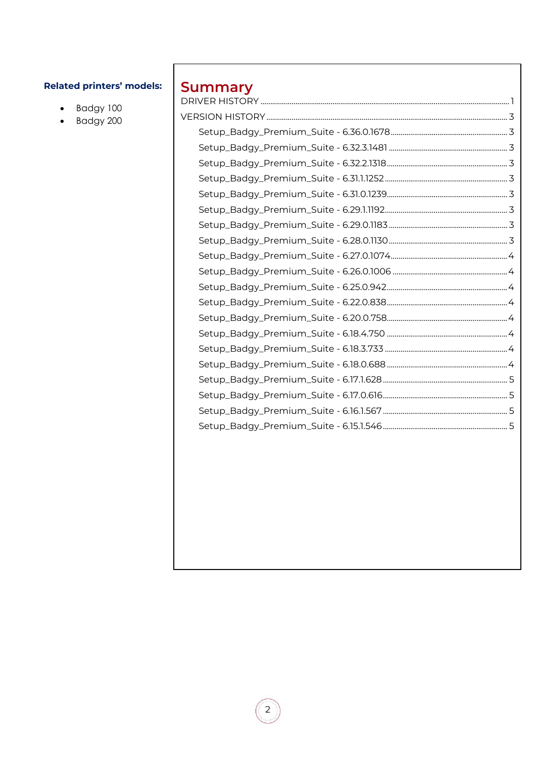# **Related printers' models:**

- · Badgy 100
- $\bullet$  Badgy 200

# **Summary**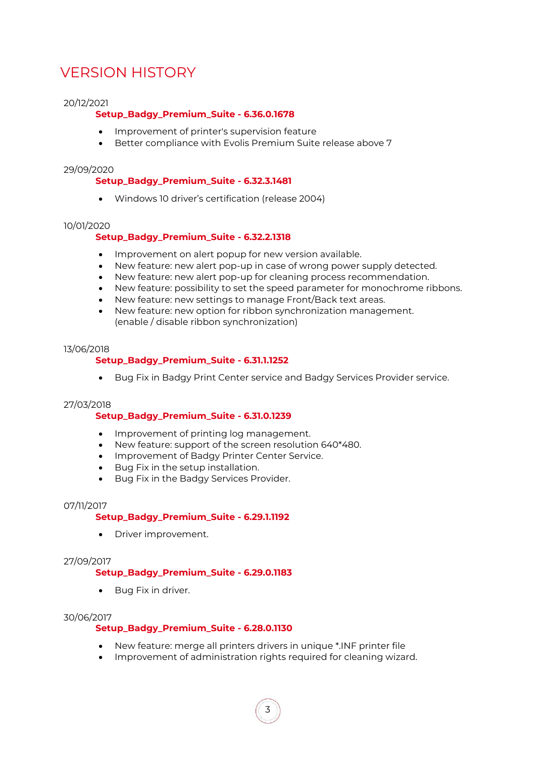# <span id="page-2-0"></span>VERSION HISTORY

# <span id="page-2-1"></span>20/12/2021

# **Setup\_Badgy\_Premium\_Suite - 6.36.0.1678**

- Improvement of printer's supervision feature
- Better compliance with Evolis Premium Suite release above 7

## <span id="page-2-2"></span>29/09/2020

# **Setup\_Badgy\_Premium\_Suite - 6.32.3.1481**

• Windows 10 driver's certification (release 2004)

#### <span id="page-2-3"></span>10/01/2020

# **Setup\_Badgy\_Premium\_Suite - 6.32.2.1318**

- Improvement on alert popup for new version available.
- New feature: new alert pop-up in case of wrong power supply detected.
- New feature: new alert pop-up for cleaning process recommendation.
- New feature: possibility to set the speed parameter for monochrome ribbons.
- New feature: new settings to manage Front/Back text areas.
- New feature: new option for ribbon synchronization management. (enable / disable ribbon synchronization)

#### <span id="page-2-4"></span>13/06/2018

# **Setup\_Badgy\_Premium\_Suite - 6.31.1.1252**

• Bug Fix in Badgy Print Center service and Badgy Services Provider service.

# <span id="page-2-5"></span>27/03/2018

# **Setup\_Badgy\_Premium\_Suite - 6.31.0.1239**

- Improvement of printing log management.
- New feature: support of the screen resolution 640\*480.
- Improvement of Badgy Printer Center Service.
- Bug Fix in the setup installation.
- Bug Fix in the Badgy Services Provider.

#### <span id="page-2-6"></span>07/11/2017

# **Setup\_Badgy\_Premium\_Suite - 6.29.1.1192**

• Driver improvement.

# <span id="page-2-7"></span>27/09/2017

# **Setup\_Badgy\_Premium\_Suite - 6.29.0.1183**

• Bug Fix in driver.

# <span id="page-2-8"></span>30/06/2017

# **Setup\_Badgy\_Premium\_Suite - 6.28.0.1130**

- New feature: merge all printers drivers in unique \*.INF printer file
- Improvement of administration rights required for cleaning wizard.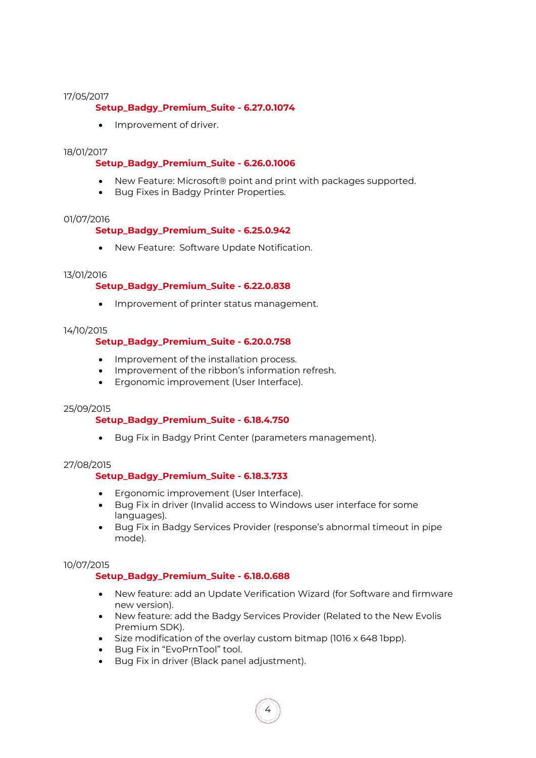#### <span id="page-3-0"></span>17/05/2017

# **Setup\_Badgy\_Premium\_Suite - 6.27.0.1074**

• Improvement of driver.

## <span id="page-3-1"></span>18/01/2017

# **Setup\_Badgy\_Premium\_Suite - 6.26.0.1006**

- New Feature: Microsoft® point and print with packages supported.
- Bug Fixes in Badgy Printer Properties.

#### <span id="page-3-2"></span>01/07/2016

# **Setup\_Badgy\_Premium\_Suite - 6.25.0.942**

• New Feature: Software Update Notification.

#### <span id="page-3-3"></span>13/01/2016

# **Setup\_Badgy\_Premium\_Suite - 6.22.0.838**

• Improvement of printer status management.

## <span id="page-3-4"></span>14/10/2015

# **Setup\_Badgy\_Premium\_Suite - 6.20.0.758**

- Improvement of the installation process.
- Improvement of the ribbon's information refresh.
- Ergonomic improvement (User Interface).

#### <span id="page-3-5"></span>25/09/2015

# **Setup\_Badgy\_Premium\_Suite - 6.18.4.750**

• Bug Fix in Badgy Print Center (parameters management).

#### <span id="page-3-6"></span>27/08/2015

# **Setup\_Badgy\_Premium\_Suite - 6.18.3.733**

- Ergonomic improvement (User Interface).
- Bug Fix in driver (Invalid access to Windows user interface for some languages).
- Bug Fix in Badgy Services Provider (response's abnormal timeout in pipe mode).

# <span id="page-3-7"></span>10/07/2015

# **Setup\_Badgy\_Premium\_Suite - 6.18.0.688**

- New feature: add an Update Verification Wizard (for Software and firmware new version).
- New feature: add the Badgy Services Provider (Related to the New Evolis Premium SDK).
- Size modification of the overlay custom bitmap (1016 x 648 1bpp).
- Bug Fix in "EvoPrnTool" tool.
- Bug Fix in driver (Black panel adjustment).